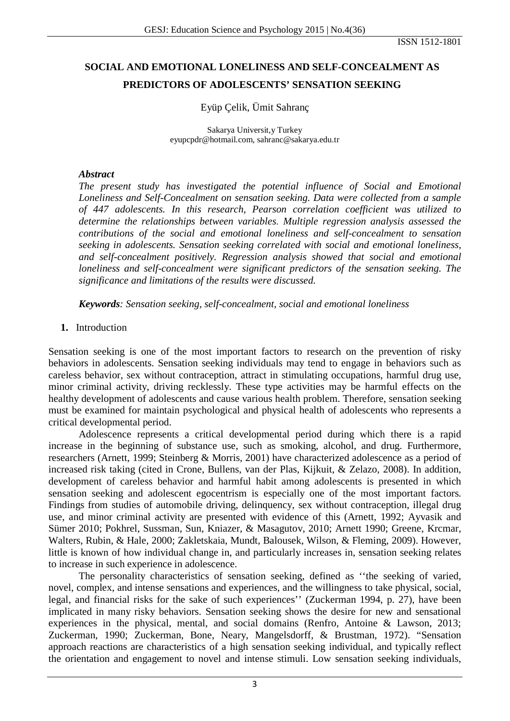ISSN 1512-1801

# **SOCIAL AND EMOTIONAL LONELINESS AND SELF-CONCEALMENT AS PREDICTORS OF ADOLESCENTS' SENSATION SEEKING**

# Eyüp Çelik, Ümit Sahranç

Sakarya Universit,y Turkey [eyupcpdr@hotmail.com,](mailto:eyupcpdr@hotmail.com) sahranc@sakarya.edu.tr

#### *Abstract*

*The present study has investigated the potential influence of Social and Emotional Loneliness and Self-Concealment on sensation seeking. Data were collected from a sample of 447 adolescents. In this research, Pearson correlation coefficient was utilized to determine the relationships between variables. Multiple regression analysis assessed the contributions of the social and emotional loneliness and self-concealment to sensation seeking in adolescents. Sensation seeking correlated with social and emotional loneliness, and self-concealment positively. Regression analysis showed that social and emotional loneliness and self-concealment were significant predictors of the sensation seeking. The significance and limitations of the results were discussed.*

*Keywords: Sensation seeking, self-concealment, social and emotional loneliness*

#### **1.** Introduction

Sensation seeking is one of the most important factors to research on the prevention of risky behaviors in adolescents. Sensation seeking individuals may tend to engage in behaviors such as careless behavior, sex without contraception, attract in stimulating occupations, harmful drug use, minor criminal activity, driving recklessly. These type activities may be harmful effects on the healthy development of adolescents and cause various health problem. Therefore, sensation seeking must be examined for maintain psychological and physical health of adolescents who represents a critical developmental period.

Adolescence represents a critical developmental period during which there is a rapid increase in the beginning of substance use, such as smoking, alcohol, and drug. Furthermore, researchers (Arnett, 1999; Steinberg & Morris, 2001) have characterized adolescence as a period of increased risk taking (cited in Crone, Bullens, van der Plas, Kijkuit, & Zelazo, 2008). In addition, development of careless behavior and harmful habit among adolescents is presented in which sensation seeking and adolescent egocentrism is especially one of the most important factors. Findings from studies of automobile driving, delinquency, sex without contraception, illegal drug use, and minor criminal activity are presented with evidence of this (Arnett, 1992; Ayvasik and Sümer 2010; Pokhrel, Sussman, Sun, Kniazer, & Masagutov, 2010; Arnett 1990; Greene, Krcmar, Walters, Rubin, & Hale, 2000; Zakletskaia, Mundt, Balousek, Wilson, & Fleming, 2009). However, little is known of how individual change in, and particularly increases in, sensation seeking relates to increase in such experience in adolescence.

The personality characteristics of sensation seeking, defined as ''the seeking of varied, novel, complex, and intense sensations and experiences, and the willingness to take physical, social, legal, and financial risks for the sake of such experiences'' (Zuckerman 1994, p. 27), have been implicated in many risky behaviors. Sensation seeking shows the desire for new and sensational experiences in the physical, mental, and social domains (Renfro, Antoine & Lawson, 2013; Zuckerman, 1990; Zuckerman, Bone, Neary, Mangelsdorff, & Brustman, 1972). "Sensation approach reactions are characteristics of a high sensation seeking individual, and typically reflect the orientation and engagement to novel and intense stimuli. Low sensation seeking individuals,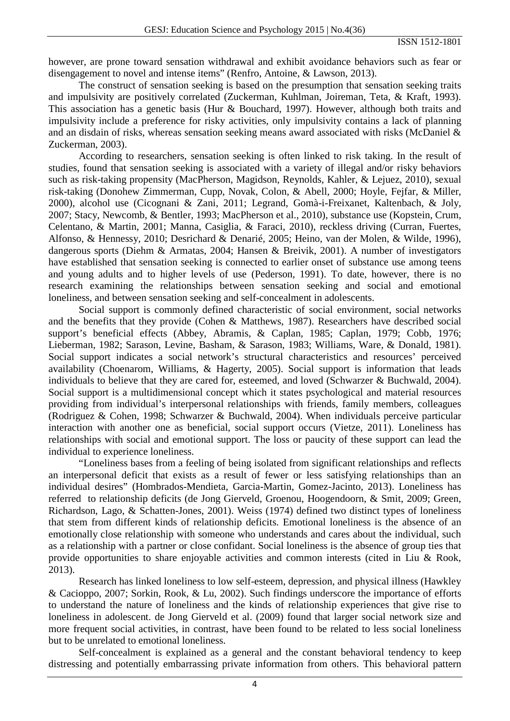however, are prone toward sensation withdrawal and exhibit avoidance behaviors such as fear or disengagement to novel and intense items" (Renfro, Antoine, & Lawson, 2013).

The construct of sensation seeking is based on the presumption that sensation seeking traits and impulsivity are positively correlated (Zuckerman, Kuhlman, Joireman, Teta, & Kraft, 1993). This association has a genetic basis (Hur & Bouchard, 1997). However, although both traits and impulsivity include a preference for risky activities, only impulsivity contains a lack of planning and an disdain of risks, whereas sensation seeking means award associated with risks (McDaniel & Zuckerman, 2003).

According to researchers, sensation seeking is often linked to risk taking. In the result of studies, found that sensation seeking is associated with a variety of illegal and/or risky behaviors such as risk-taking propensity (MacPherson, Magidson, Reynolds, Kahler, & Lejuez, 2010), sexual risk-taking (Donohew Zimmerman, Cupp, Novak, Colon, & Abell, 2000; Hoyle, Fejfar, & Miller, 2000), alcohol use (Cicognani & Zani, 2011; Legrand, Gomà-i-Freixanet, Kaltenbach, & Joly, 2007; Stacy, Newcomb, & Bentler, 1993; MacPherson et al., 2010), substance use (Kopstein, Crum, Celentano, & Martin, 2001; Manna, Casiglia, & Faraci, 2010), reckless driving (Curran, Fuertes, Alfonso, & Hennessy, 2010; Desrichard & Denarié, 2005; Heino, van der Molen, & Wilde, 1996), dangerous sports (Diehm & Armatas, 2004; Hansen & Breivik, 2001). A number of investigators have established that sensation seeking is connected to earlier onset of substance use among teens and young adults and to higher levels of use (Pederson, 1991). To date, however, there is no research examining the relationships between sensation seeking and social and emotional loneliness, and between sensation seeking and self-concealment in adolescents.

Social support is commonly defined characteristic of social environment, social networks and the benefits that they provide (Cohen & Matthews, 1987). Researchers have described social support's beneficial effects (Abbey, Abramis, & Caplan, 1985; Caplan, 1979; Cobb, 1976; Lieberman, 1982; Sarason, Levine, Basham, & Sarason, 1983; Williams, Ware, & Donald, 1981). Social support indicates a social network's structural characteristics and resources' perceived availability (Choenarom, Williams, & Hagerty, 2005). Social support is information that leads individuals to believe that they are cared for, esteemed, and loved (Schwarzer & Buchwald, 2004). Social support is a multidimensional concept which it states psychological and material resources providing from individual's interpersonal relationships with friends, family members, colleagues (Rodriguez & Cohen, 1998; Schwarzer & Buchwald, 2004). When individuals perceive particular interaction with another one as beneficial, social support occurs (Vietze, 2011). Loneliness has relationships with social and emotional support. The loss or paucity of these support can lead the individual to experience loneliness.

"Loneliness bases from a feeling of being isolated from significant relationships and reflects an interpersonal deficit that exists as a result of fewer or less satisfying relationships than an individual desires" (Hombrados-Mendieta, Garcia-Martin, Gomez-Jacinto, 2013). Loneliness has referred to relationship deficits (de Jong Gierveld, Groenou, Hoogendoorn, & Smit, 2009; Green, Richardson, Lago, & Schatten-Jones, 2001). Weiss (1974) defined two distinct types of loneliness that stem from different kinds of relationship deficits. Emotional loneliness is the absence of an emotionally close relationship with someone who understands and cares about the individual, such as a relationship with a partner or close confidant. Social loneliness is the absence of group ties that provide opportunities to share enjoyable activities and common interests (cited in Liu & Rook, 2013).

Research has linked loneliness to low self-esteem, depression, and physical illness (Hawkley & Cacioppo, 2007; Sorkin, Rook, & Lu, 2002). Such findings underscore the importance of efforts to understand the nature of loneliness and the kinds of relationship experiences that give rise to loneliness in adolescent. de Jong Gierveld et al. (2009) found that larger social network size and more frequent social activities, in contrast, have been found to be related to less social loneliness but to be unrelated to emotional loneliness.

Self-concealment is explained as a general and the constant behavioral tendency to keep distressing and potentially embarrassing private information from others. This behavioral pattern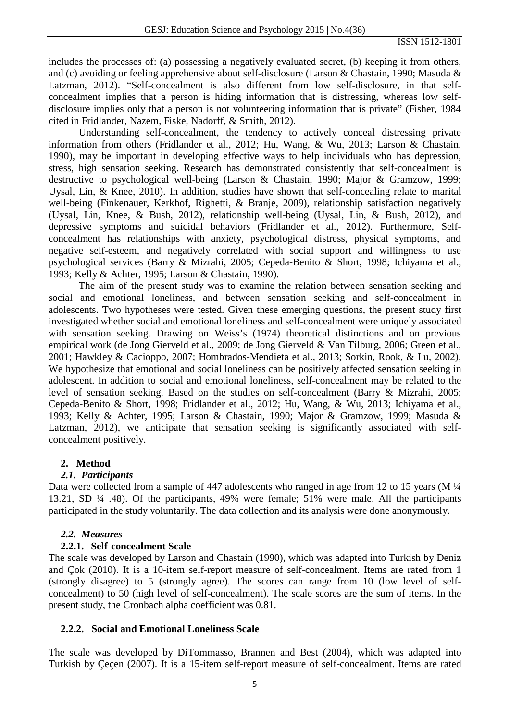includes the processes of: (a) possessing a negatively evaluated secret, (b) keeping it from others, and (c) avoiding or feeling apprehensive about self-disclosure (Larson & Chastain, 1990; Masuda & Latzman, 2012). "Self-concealment is also different from low self-disclosure, in that selfconcealment implies that a person is hiding information that is distressing, whereas low selfdisclosure implies only that a person is not volunteering information that is private" (Fisher, 1984 cited in Fridlander, Nazem, Fiske, Nadorff, & Smith, 2012).

Understanding self-concealment, the tendency to actively conceal distressing private information from others (Fridlander et al., 2012; Hu, Wang, & Wu, 2013; Larson & Chastain, 1990), may be important in developing effective ways to help individuals who has depression, stress, high sensation seeking. Research has demonstrated consistently that self-concealment is destructive to psychological well-being (Larson & Chastain, 1990; Major & Gramzow, 1999; Uysal, Lin, & Knee, 2010). In addition, studies have shown that self-concealing relate to marital well-being (Finkenauer, Kerkhof, Righetti, & Branje, 2009), relationship satisfaction negatively (Uysal, Lin, Knee, & Bush, 2012), relationship well-being (Uysal, Lin, & Bush, 2012), and depressive symptoms and suicidal behaviors (Fridlander et al., 2012). Furthermore, Selfconcealment has relationships with anxiety, psychological distress, physical symptoms, and negative self-esteem, and negatively correlated with social support and willingness to use psychological services (Barry & Mizrahi, 2005; Cepeda-Benito & Short, 1998; Ichiyama et al., 1993; Kelly & Achter, 1995; Larson & Chastain, 1990).

The aim of the present study was to examine the relation between sensation seeking and social and emotional loneliness, and between sensation seeking and self-concealment in adolescents. Two hypotheses were tested. Given these emerging questions, the present study first investigated whether social and emotional loneliness and self-concealment were uniquely associated with sensation seeking. Drawing on Weiss's (1974) theoretical distinctions and on previous empirical work (de Jong Gierveld et al., 2009; de Jong Gierveld & Van Tilburg, 2006; Green et al., 2001; Hawkley & Cacioppo, 2007; Hombrados-Mendieta et al., 2013; Sorkin, Rook, & Lu, 2002), We hypothesize that emotional and social loneliness can be positively affected sensation seeking in adolescent. In addition to social and emotional loneliness, self-concealment may be related to the level of sensation seeking. Based on the studies on self-concealment (Barry & Mizrahi, 2005; Cepeda-Benito & Short, 1998; Fridlander et al., 2012; Hu, Wang, & Wu, 2013; Ichiyama et al., 1993; Kelly & Achter, 1995; Larson & Chastain, 1990; Major & Gramzow, 1999; Masuda & Latzman, 2012), we anticipate that sensation seeking is significantly associated with selfconcealment positively.

# **2. Method**

# *2.1. Participants*

Data were collected from a sample of 447 adolescents who ranged in age from 12 to 15 years (M  $\frac{1}{4}$ ) 13.21, SD ¼ .48). Of the participants, 49% were female; 51% were male. All the participants participated in the study voluntarily. The data collection and its analysis were done anonymously.

# *2.2. Measures*

# **2.2.1. Self-concealment Scale**

The scale was developed by Larson and Chastain (1990), which was adapted into Turkish by Deniz and Çok (2010). It is a 10-item self-report measure of self-concealment. Items are rated from 1 (strongly disagree) to 5 (strongly agree). The scores can range from 10 (low level of selfconcealment) to 50 (high level of self-concealment). The scale scores are the sum of items. In the present study, the Cronbach alpha coefficient was 0.81.

# **2.2.2. Social and Emotional Loneliness Scale**

The scale was developed by DiTommasso, Brannen and Best (2004), which was adapted into Turkish by Çeçen (2007). It is a 15-item self-report measure of self-concealment. Items are rated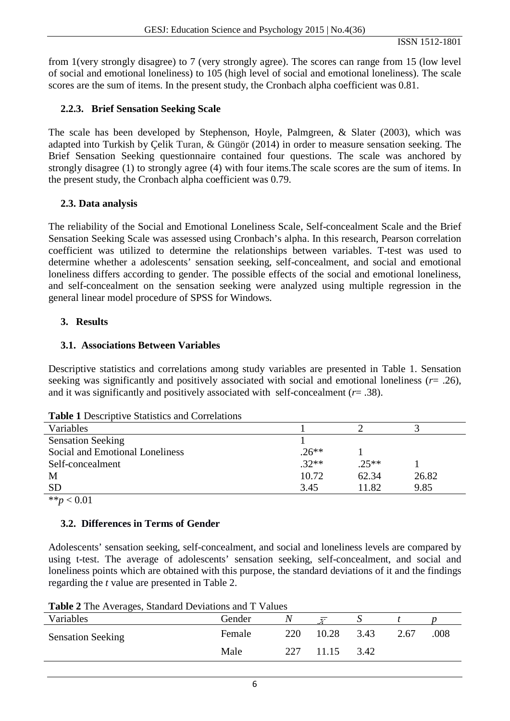from 1(very strongly disagree) to 7 (very strongly agree). The scores can range from 15 (low level of social and emotional loneliness) to 105 (high level of social and emotional loneliness). The scale scores are the sum of items. In the present study, the Cronbach alpha coefficient was 0.81.

# **2.2.3. Brief Sensation Seeking Scale**

The scale has been developed by Stephenson, Hoyle, Palmgreen, & Slater (2003), which was adapted into Turkish by Çelik Turan, & Güngör (2014) in order to measure sensation seeking. The Brief Sensation Seeking questionnaire contained four questions. The scale was anchored by strongly disagree (1) to strongly agree (4) with four items.The scale scores are the sum of items. In the present study, the Cronbach alpha coefficient was 0.79.

# **2.3. Data analysis**

The reliability of the Social and Emotional Loneliness Scale, Self-concealment Scale and the Brief Sensation Seeking Scale was assessed using Cronbach's alpha. In this research, Pearson correlation coefficient was utilized to determine the relationships between variables. T-test was used to determine whether a adolescents' sensation seeking, self-concealment, and social and emotional loneliness differs according to gender. The possible effects of the social and emotional loneliness, and self-concealment on the sensation seeking were analyzed using multiple regression in the general linear model procedure of SPSS for Windows.

# **3. Results**

# **3.1. Associations Between Variables**

Descriptive statistics and correlations among study variables are presented in Table 1. Sensation seeking was significantly and positively associated with social and emotional loneliness (*r*= .26), and it was significantly and positively associated with self-concealment (*r*= .38).

| <b>Lable 1</b> Descriptive Statistics and Correlations |         |         |       |
|--------------------------------------------------------|---------|---------|-------|
| Variables                                              |         |         |       |
| <b>Sensation Seeking</b>                               |         |         |       |
| Social and Emotional Loneliness                        | $.26**$ |         |       |
| Self-concealment                                       | $.32**$ | $.25**$ |       |
| M                                                      | 10.72   | 62.34   | 26.82 |
| <b>SD</b>                                              | 3.45    | 11.82   | 9.85  |
| ** $p < 0.01$                                          |         |         |       |

**Table 1** Descriptive Statistics and Correlations

# **3.2. Differences in Terms of Gender**

Adolescents' sensation seeking, self-concealment, and social and loneliness levels are compared by using t-test. The average of adolescents' sensation seeking, self-concealment, and social and loneliness points which are obtained with this purpose, the standard deviations of it and the findings regarding the *t* value are presented in Table 2.

**Table 2** The Averages, Standard Deviations and T Values

| <b>Table 2</b> THE AVERAGES, Standard Deviations and T values |        |     |       |      |      |      |  |  |
|---------------------------------------------------------------|--------|-----|-------|------|------|------|--|--|
| Variables                                                     | Gender | N   | ਹ     |      |      |      |  |  |
| <b>Sensation Seeking</b>                                      | Female | 220 | 10.28 | 3.43 | 2.67 | .008 |  |  |
|                                                               | Male   | 227 | 11.15 | 3.42 |      |      |  |  |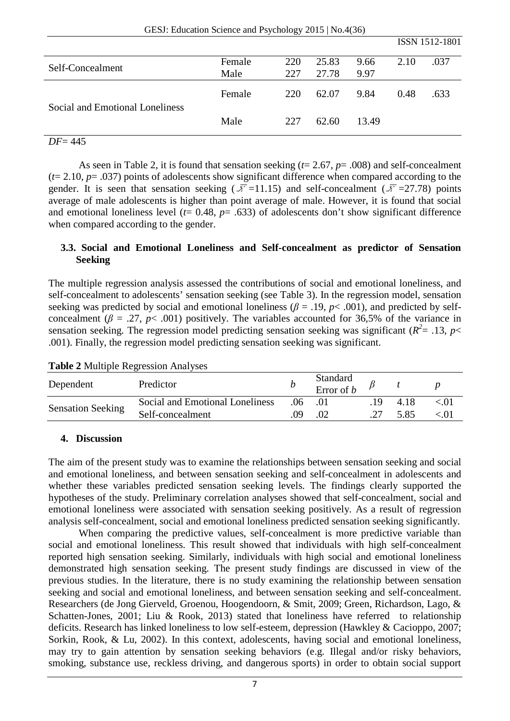|                                 |        |     |       |       | ISSN 1512-1801 |      |
|---------------------------------|--------|-----|-------|-------|----------------|------|
| Self-Concealment                | Female | 220 | 25.83 | 9.66  | 2.10           | .037 |
|                                 | Male   | 227 | 27.78 | 9.97  |                |      |
|                                 | Female | 220 | 62.07 | 9.84  | 0.48           | .633 |
| Social and Emotional Loneliness | Male   | 227 | 62.60 | 13.49 |                |      |
| $DF = 445$                      |        |     |       |       |                |      |

As seen in Table 2, it is found that sensation seeking (*t*= 2.67, *p*= .008) and self-concealment  $(t= 2.10, p=.037)$  points of adolescents show significant difference when compared according to the gender. It is seen that sensation seeking ( $\overline{\overline{x}}$ =11.15) and self-concealment ( $\overline{\overline{x}}$ =27.78) points average of male adolescents is higher than point average of male. However, it is found that social and emotional loneliness level  $(t= 0.48, p= .633)$  of adolescents don't show significant difference when compared according to the gender.

# **3.3. Social and Emotional Loneliness and Self-concealment as predictor of Sensation Seeking**

The multiple regression analysis assessed the contributions of social and emotional loneliness, and self-concealment to adolescents' sensation seeking (see Table 3). In the regression model, sensation seeking was predicted by social and emotional loneliness ( $\beta$  = .19,  $p$ < .001), and predicted by selfconcealment ( $\beta$  = .27,  $p$ < .001) positively. The variables accounted for 36,5% of the variance in sensation seeking. The regression model predicting sensation seeking was significant ( $R^2$ = .13,  $p$  < .001). Finally, the regression model predicting sensation seeking was significant.

| Dependent                | Predictor                       |     | Standard<br>Error of $b$ |     |      |            |  |
|--------------------------|---------------------------------|-----|--------------------------|-----|------|------------|--|
| <b>Sensation Seeking</b> | Social and Emotional Loneliness | .06 |                          | -19 | 4.18 | $\leq 0.1$ |  |
|                          | Self-concealment                | 09  |                          |     | 5.85 | < 01       |  |

**Table 2** Multiple Regression Analyses

#### **4. Discussion**

The aim of the present study was to examine the relationships between sensation seeking and social and emotional loneliness, and between sensation seeking and self-concealment in adolescents and whether these variables predicted sensation seeking levels. The findings clearly supported the hypotheses of the study. Preliminary correlation analyses showed that self-concealment, social and emotional loneliness were associated with sensation seeking positively. As a result of regression analysis self-concealment, social and emotional loneliness predicted sensation seeking significantly.

When comparing the predictive values, self-concealment is more predictive variable than social and emotional loneliness. This result showed that individuals with high self-concealment reported high sensation seeking. Similarly, individuals with high social and emotional loneliness demonstrated high sensation seeking. The present study findings are discussed in view of the previous studies. In the literature, there is no study examining the relationship between sensation seeking and social and emotional loneliness, and between sensation seeking and self-concealment. Researchers (de Jong Gierveld, Groenou, Hoogendoorn, & Smit, 2009; Green, Richardson, Lago, & Schatten-Jones, 2001; Liu & Rook, 2013) stated that loneliness have referred to relationship deficits. Research has linked loneliness to low self-esteem, depression (Hawkley & Cacioppo, 2007; Sorkin, Rook, & Lu, 2002). In this context, adolescents, having social and emotional loneliness, may try to gain attention by sensation seeking behaviors (e.g. Illegal and/or risky behaviors, smoking, substance use, reckless driving, and dangerous sports) in order to obtain social support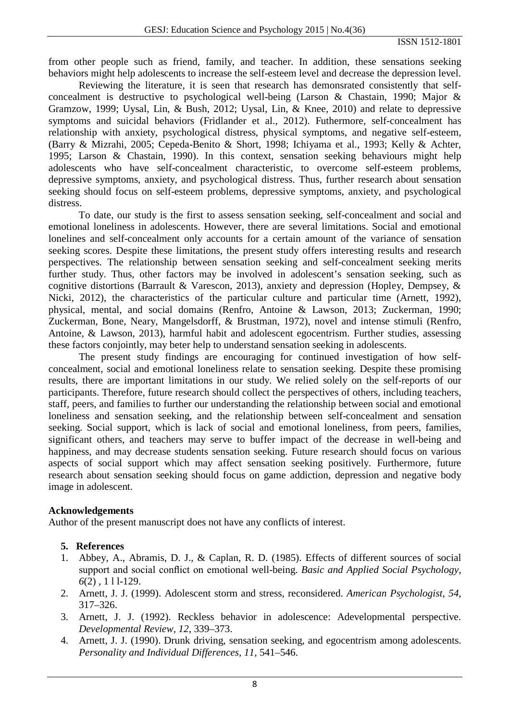from other people such as friend, family, and teacher. In addition, these sensations seeking behaviors might help adolescents to increase the self-esteem level and decrease the depression level.

Reviewing the literature, it is seen that research has demonsrated consistently that selfconcealment is destructive to psychological well-being (Larson & Chastain, 1990; Major & Gramzow, 1999; Uysal, Lin, & Bush, 2012; Uysal, Lin, & Knee, 2010) and relate to depressive symptoms and suicidal behaviors (Fridlander et al., 2012). Futhermore, self-concealment has relationship with anxiety, psychological distress, physical symptoms, and negative self-esteem, (Barry & Mizrahi, 2005; Cepeda-Benito & Short, 1998; Ichiyama et al., 1993; Kelly & Achter, 1995; Larson & Chastain, 1990). In this context, sensation seeking behaviours might help adolescents who have self-concealment characteristic, to overcome self-esteem problems, depressive symptoms, anxiety, and psychological distress. Thus, further research about sensation seeking should focus on self-esteem problems, depressive symptoms, anxiety, and psychological distress.

To date, our study is the first to assess sensation seeking, self-concealment and social and emotional loneliness in adolescents. However, there are several limitations. Social and emotional lonelines and self-concealment only accounts for a certain amount of the variance of sensation seeking scores. Despite these limitations, the present study offers interesting results and research perspectives. The relationship between sensation seeking and self-concealment seeking merits further study. Thus, other factors may be involved in adolescent's sensation seeking, such as cognitive distortions (Barrault & Varescon, 2013), anxiety and depression (Hopley, Dempsey, & Nicki, 2012), the characteristics of the particular culture and particular time (Arnett, 1992), physical, mental, and social domains (Renfro, Antoine & Lawson, 2013; Zuckerman, 1990; Zuckerman, Bone, Neary, Mangelsdorff, & Brustman, 1972), novel and intense stimuli (Renfro, Antoine, & Lawson, 2013), harmful habit and adolescent egocentrism. Further studies, assessing these factors conjointly, may beter help to understand sensation seeking in adolescents.

The present study findings are encouraging for continued investigation of how selfconcealment, social and emotional loneliness relate to sensation seeking. Despite these promising results, there are important limitations in our study. We relied solely on the self-reports of our participants. Therefore, future research should collect the perspectives of others, including teachers, staff, peers, and families to further our understanding the relationship between social and emotional loneliness and sensation seeking, and the relationship between self-concealment and sensation seeking. Social support, which is lack of social and emotional loneliness, from peers, families, significant others, and teachers may serve to buffer impact of the decrease in well-being and happiness, and may decrease students sensation seeking. Future research should focus on various aspects of social support which may affect sensation seeking positively. Furthermore, future research about sensation seeking should focus on game addiction, depression and negative body image in adolescent.

#### **Acknowledgements**

Author of the present manuscript does not have any conflicts of interest.

# **5. References**

- 1. Abbey, A., Abramis, D. J., & Caplan, R. D. (1985). Effects of different sources of social support and social conflict on emotional well-being. *Basic and Applied Social Psychology, 6*(2) , 1 l l-129.
- 2. Arnett, J. J. (1999). Adolescent storm and stress, reconsidered. *American Psychologist, 54*, 317–326.
- 3. Arnett, J. J. (1992). Reckless behavior in adolescence: Adevelopmental perspective. *Developmental Review, 12*, 339–373.
- 4. Arnett, J. J. (1990). Drunk driving, sensation seeking, and egocentrism among adolescents. *Personality and Individual Differences, 11*, 541–546.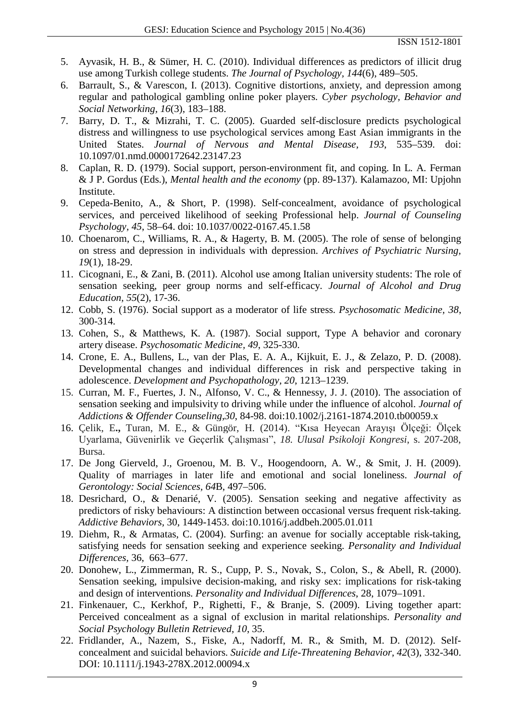- 5. Ayvasik, H. B., & Sümer, H. C. (2010). Individual differences as predictors of illicit drug use among Turkish college students. *The Journal of Psychology, 144*(6), 489–505.
- 6. Barrault, S., & Varescon, I. (2013). Cognitive distortions, anxiety, and depression among regular and pathological gambling online poker players. *Cyber psychology, Behavior and Social Networking, 16*(3), 183–188.
- 7. Barry, D. T., & Mizrahi, T. C. (2005). Guarded self-disclosure predicts psychological distress and willingness to use psychological services among East Asian immigrants in the United States. *Journal of Nervous and Mental Disease, 193*, 535–539. doi: 10.1097/01.nmd.0000172642.23147.23
- 8. Caplan, R. D. (1979). Social support, person-environment fit, and coping. In L. A. Ferman & J P. Gordus (Eds.), *Mental health and the economy* (pp. 89-137). Kalamazoo, MI: Upjohn Institute.
- 9. Cepeda-Benito, A., & Short, P. (1998). Self-concealment, avoidance of psychological services, and perceived likelihood of seeking Professional help. *Journal of Counseling Psychology, 45*, 58–64. doi: 10.1037/0022-0167.45.1.58
- 10. Choenarom, C., Williams, R. A., & Hagerty, B. M. (2005). The role of sense of belonging on stress and depression in individuals with depression. *Archives of Psychiatric Nursing, 19*(1), 18-29.
- 11. Cicognani, E., & Zani, B. (2011). Alcohol use among Italian university students: The role of sensation seeking, peer group norms and self-efficacy. *Journal of Alcohol and Drug Education, 55*(2), 17-36.
- 12. Cobb, S. (1976). Social support as a moderator of life stress. *Psychosomatic Medicine, 38*, 300-314.
- 13. Cohen, S., & Matthews, K. A. (1987). Social support, Type A behavior and coronary artery disease. *Psychosomatic Medicine, 49*, 325-330.
- 14. Crone, E. A., Bullens, L., van der Plas, E. A. A., Kijkuit, E. J., & Zelazo, P. D. (2008). Developmental changes and individual differences in risk and perspective taking in adolescence. *Development and Psychopathology, 20*, 1213–1239.
- 15. Curran, M. F., Fuertes, J. N., Alfonso, V. C., & Hennessy, J. J. (2010). The association of sensation seeking and impulsivity to driving while under the influence of alcohol. *Journal of Addictions & Offender Counseling,30*, 84-98. doi:10.1002/j.2161-1874.2010.tb00059.x
- 16. Çelik, E**.,** Turan, M. E., & Güngör, H. (2014). "Kısa Heyecan Arayışı Ölçeği: Ölçek Uyarlama, Güvenirlik ve Geçerlik Çalışması", *18. Ulusal Psikoloji Kongresi*, s. 207-208, Bursa.
- 17. De Jong Gierveld, J., Groenou, M. B. V., Hoogendoorn, A. W., & Smit, J. H. (2009). Quality of marriages in later life and emotional and social loneliness. *Journal of Gerontology: Social Sciences, 64*B, 497–506.
- 18. Desrichard, O., & Denarié, V. (2005). Sensation seeking and negative affectivity as predictors of risky behaviours: A distinction between occasional versus frequent risk-taking. *Addictive Behaviors,* 30, 1449-1453. doi:10.1016/j.addbeh.2005.01.011
- 19. Diehm, R., & Armatas, C. (2004). Surfing: an avenue for socially acceptable risk-taking, satisfying needs for sensation seeking and experience seeking. *Personality and Individual Differences,* 36, 663–677.
- 20. Donohew, L., Zimmerman, R. S., Cupp, P. S., Novak, S., Colon, S., & Abell, R. (2000). Sensation seeking, impulsive decision-making, and risky sex: implications for risk-taking and design of interventions. *Personality and Individual Differences*, 28, 1079–1091.
- 21. Finkenauer, C., Kerkhof, P., Righetti, F., & Branje, S. (2009). Living together apart: Perceived concealment as a signal of exclusion in marital relationships. *Personality and Social Psychology Bulletin Retrieved, 10*, 35.
- 22. Fridlander, A., Nazem, S., Fiske, A., Nadorff, M. R., & Smith, M. D. (2012). Selfconcealment and suicidal behaviors. *Suicide and Life-Threatening Behavior, 42*(3), 332-340. DOI: 10.1111/j.1943-278X.2012.00094.x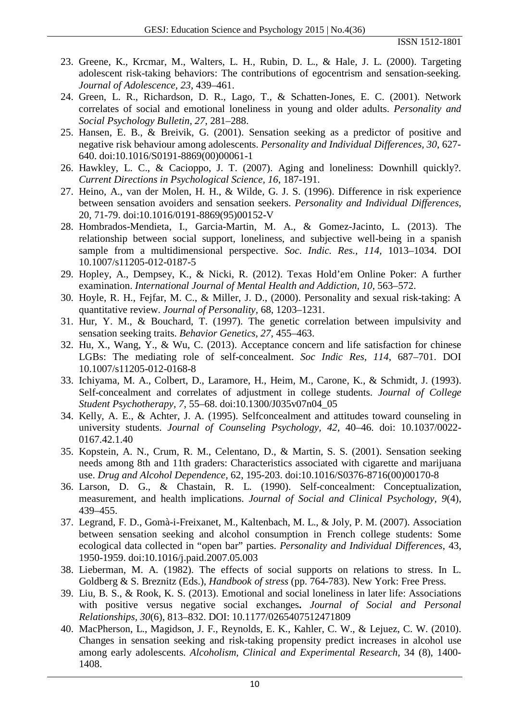- 23. Greene, K., Krcmar, M., Walters, L. H., Rubin, D. L., & Hale, J. L. (2000). Targeting adolescent risk-taking behaviors: The contributions of egocentrism and sensation-seeking. *Journal of Adolescence, 23*, 439–461.
- 24. Green, L. R., Richardson, D. R., Lago, T., & Schatten-Jones, E. C. (2001). Network correlates of social and emotional loneliness in young and older adults. *Personality and Social Psychology Bulletin, 27*, 281–288.
- 25. Hansen, E. B., & Breivik, G. (2001). Sensation seeking as a predictor of positive and negative risk behaviour among adolescents. *Personality and Individual Differences, 30*, 627- 640. doi[:10.1016/S0191-8869\(00\)00061-1](http://dx.doi.org/10.1016/S0191-8869(00)00061-1)
- 26. Hawkley, L. C., & Cacioppo, J. T. (2007). Aging and loneliness: Downhill quickly?. *Current Directions in Psychological Science, 16*, 187-191.
- 27. Heino, A., van der Molen, H. H., & Wilde, G. J. S. (1996). Difference in risk experience between sensation avoiders and sensation seekers. *Personality and Individual Differences,*  20, 71-79. doi:10.1016/0191-8869(95)00152-V
- 28. Hombrados-Mendieta, I., Garcia-Martin, M. A., & Gomez-Jacinto, L. (2013). The relationship between social support, loneliness, and subjective well-being in a spanish sample from a multidimensional perspective. *Soc. Indic. Res., 114*, 1013–1034. DOI 10.1007/s11205-012-0187-5
- 29. Hopley, A., Dempsey, K., & Nicki, R. (2012). Texas Hold'em Online Poker: A further examination. *International Journal of Mental Health and Addiction, 10*, 563–572.
- 30. Hoyle, R. H., Fejfar, M. C., & Miller, J. D., (2000). Personality and sexual risk-taking: A quantitative review. *Journal of Personality,* 68, 1203–1231.
- 31. Hur, Y. M., & Bouchard, T. (1997). The genetic correlation between impulsivity and sensation seeking traits. *Behavior Genetics, 27*, 455–463.
- 32. Hu, X., Wang, Y., & Wu, C. (2013). Acceptance concern and life satisfaction for chinese LGBs: The mediating role of self-concealment. *Soc Indic Res, 114*, 687–701. DOI 10.1007/s11205-012-0168-8
- 33. Ichiyama, M. A., Colbert, D., Laramore, H., Heim, M., Carone, K., & Schmidt, J. (1993). Self-concealment and correlates of adjustment in college students. *Journal of College Student Psychotherapy, 7*, 55–68. doi:10.1300/J035v07n04\_05
- 34. Kelly, A. E., & Achter, J. A. (1995). Selfconcealment and attitudes toward counseling in university students. *Journal of Counseling Psychology, 42*, 40–46. doi: 10.1037/0022- 0167.42.1.40
- 35. Kopstein, A. N., Crum, R. M., Celentano, D., & Martin, S. S. (2001). Sensation seeking needs among 8th and 11th graders: Characteristics associated with cigarette and marijuana use. *Drug and Alcohol Dependence,* 62, 195-203. doi:10.1016/S0376-8716(00)00170-8
- 36. Larson, D. G., & Chastain, R. L. (1990). Self-concealment: Conceptualization, measurement, and health implications. *Journal of Social and Clinical Psychology, 9*(4), 439–455.
- 37. Legrand, F. D., Gomà-i-Freixanet, M., Kaltenbach, M. L., & Joly, P. M. (2007). Association between sensation seeking and alcohol consumption in French college students: Some ecological data collected in "open bar" parties. *Personality and Individual Differences*, 43, 1950-1959. doi:10.1016/j.paid.2007.05.003
- 38. Lieberman, M. A. (1982). The effects of social supports on relations to stress. In L. Goldberg & S. Breznitz (Eds.), *Handbook of stress* (pp. 764-783). New York: Free Press.
- 39. Liu, B. S., & Rook, K. S. (2013). Emotional and social loneliness in later life: Associations with positive versus negative social exchanges**.** *Journal of Social and Personal Relationships, 30*(6), 813–832. DOI: 10.1177/0265407512471809
- 40. MacPherson, L., Magidson, J. F., Reynolds, E. K., Kahler, C. W., & Lejuez, C. W. (2010). Changes in sensation seeking and risk-taking propensity predict increases in alcohol use among early adolescents. *Alcoholism, Clinical and Experimental Research,* 34 (8), 1400- 1408.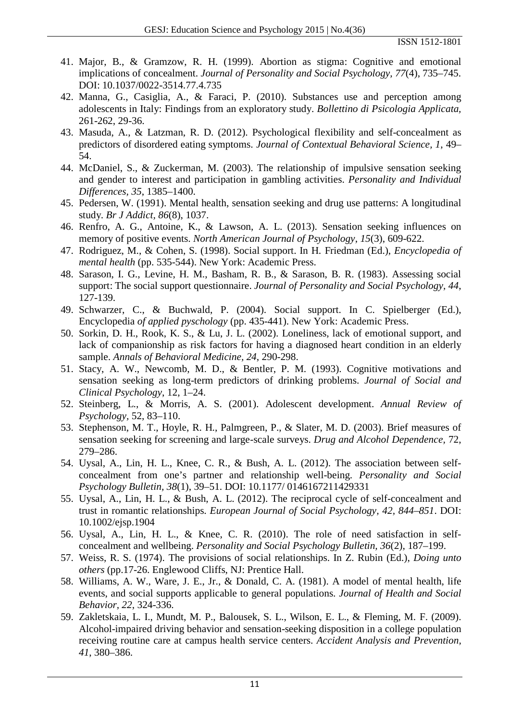- 41. Major, B., & Gramzow, R. H. (1999). Abortion as stigma: Cognitive and emotional implications of concealment. *Journal of Personality and Social Psychology, 77*(4), 735–745. DOI: 10.1037/0022-3514.77.4.735
- 42. Manna, G., Casiglia, A., & Faraci, P. (2010). Substances use and perception among adolescents in Italy: Findings from an exploratory study. *Bollettino di Psicologia Applicata,*  261-262, 29-36.
- 43. Masuda, A., & Latzman, R. D. (2012). Psychological flexibility and self-concealment as predictors of disordered eating symptoms. *Journal of Contextual Behavioral Science, 1*, 49– 54.
- 44. McDaniel, S., & Zuckerman, M. (2003). The relationship of impulsive sensation seeking and gender to interest and participation in gambling activities. *Personality and Individual Differences, 35*, 1385–1400.
- 45. [Pedersen, W.](http://www.ncbi.nlm.nih.gov/pubmed?term=Pedersen%20W%5BAuthor%5D&cauthor=true&cauthor_uid=2021702) (1991). Mental health, sensation seeking and drug use patterns: A longitudinal study. *Br J Addict, 86*(8), 1037.
- 46. Renfro, A. G., Antoine, K., & Lawson, A. L. (2013). Sensation seeking influences on memory of positive events. *North American Journal of Psychology*, *15*(3), 609-622.
- 47. Rodriguez, M., & Cohen, S. (1998). Social support. In H. Friedman (Ed.), *Encyclopedia of mental health* (pp. 535-544). New York: Academic Press.
- 48. Sarason, I. G., Levine, H. M., Basham, R. B., & Sarason, B. R. (1983). Assessing social support: The social support questionnaire. *Journal of Personality and Social Psychology, 44*, 127-139.
- 49. Schwarzer, C., & Buchwald, P. (2004). Social support. In C. Spielberger (Ed.), Encyclopedia *of applied pyschology* (pp. 435-441). New York: Academic Press.
- 50. Sorkin, D. H., Rook, K. S., & Lu, J. L. (2002). Loneliness, lack of emotional support, and lack of companionship as risk factors for having a diagnosed heart condition in an elderly sample. *Annals of Behavioral Medicine, 24*, 290-298.
- 51. Stacy, A. W., Newcomb, M. D., & Bentler, P. M. (1993). Cognitive motivations and sensation seeking as long-term predictors of drinking problems. *Journal of Social and Clinical Psychology*, 12, 1–24.
- 52. Steinberg, L., & Morris, A. S. (2001). Adolescent development. *Annual Review of Psychology,* 52, 83–110.
- 53. Stephenson, M. T., Hoyle, R. H., Palmgreen, P., & Slater, M. D. (2003). Brief measures of sensation seeking for screening and large-scale surveys. *Drug and Alcohol Dependence,* 72, 279–286.
- 54. Uysal, A., Lin, H. L., Knee, C. R., & Bush, A. L. (2012). The association between selfconcealment from one's partner and relationship well-being. *Personality and Social Psychology Bulletin, 38*(1), 39–51. DOI: 10.1177/ 0146167211429331
- 55. Uysal, A., Lin, H. L., & Bush, A. L. (2012). The reciprocal cycle of self-concealment and trust in romantic relationships. *European Journal of Social Psychology, 42, 844–851*. DOI: 10.1002/ejsp.1904
- 56. Uysal, A., Lin, H. L., & Knee, C. R. (2010). The role of need satisfaction in selfconcealment and wellbeing. *Personality and Social Psychology Bulletin, 36*(2), 187–199.
- 57. Weiss, R. S. (1974). The provisions of social relationships. In Z. Rubin (Ed.), *Doing unto others* (pp.17-26. Englewood Cliffs, NJ: Prentice Hall.
- 58. Williams, A. W., Ware, J. E., Jr., & Donald, C. A. (1981). A model of mental health, life events, and social supports applicable to general populations. *Journal of Health and Social Behavior, 22*, 324-336.
- 59. Zakletskaia, L. I., Mundt, M. P., Balousek, S. L., Wilson, E. L., & Fleming, M. F. (2009). Alcohol-impaired driving behavior and sensation-seeking disposition in a college population receiving routine care at campus health service centers. *Accident Analysis and Prevention, 41*, 380–386.